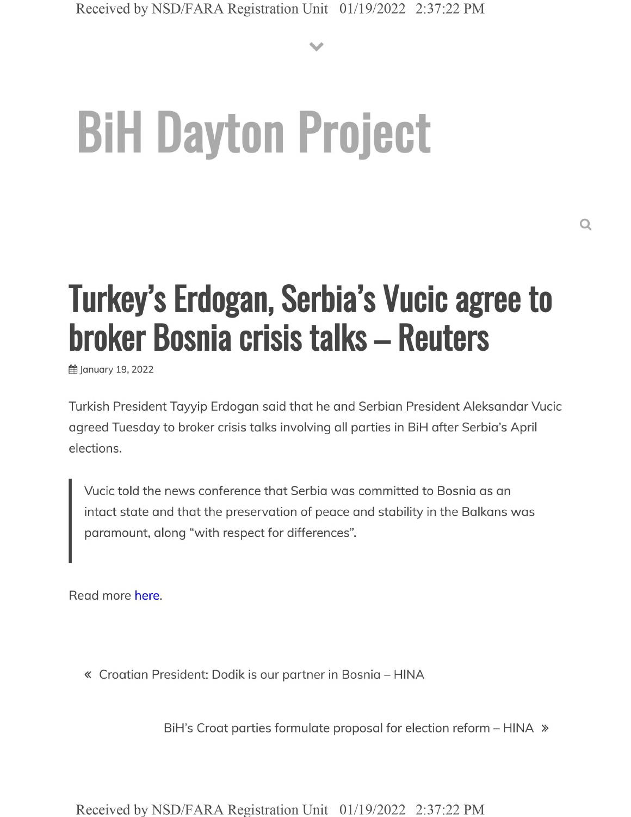**V**

## **BiH Dayton Project**

## **Turkey's Erdogan, Serbia's Vucic agree to broker Bosnia crisis talks - Reuters**

**前 January 19, 2022** 

Turkish President Tayyip Erdogan said that he and Serbian President Aleksandar Vucic agreed Tuesday to broker crisis talks involving all parties in BiH after Serbia's April elections.

Vucic told the news conference that Serbia was committed to Bosnia as an intact state and that the preservation of peace and stability in the Balkans was paramount, along "with respect for differences".

Read more here.

« Croatian President: Dodik is our partner in Bosnia - HINA

BiH's Croat parties formulate proposal for election reform - HINA »

Received by NSD/FARA Registration Unit 01/19/2022 2:37:22 PM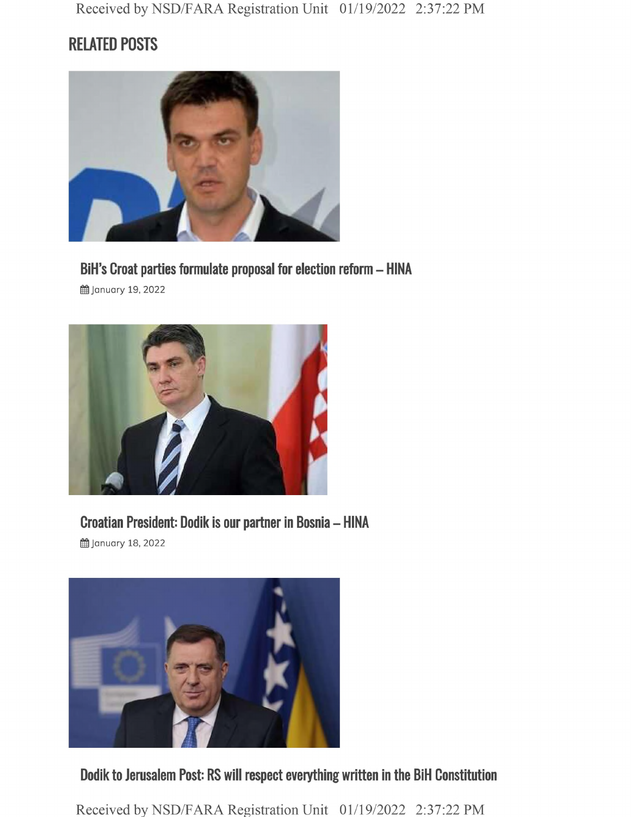## **RELATED POSTS**



**BiH's Croat parties formulate proposal for election reform - HINA**

g January 19, 2022



**Croatian President: Dodik is our partner in Bosnia - HINA**

§§ January 18, 2022



**Dodik to Jerusalem Post: RS will respect everything written in the BiH Constitution**

Received by NSD/FARA Registration Unit 01/19/2022 2:37:22 PM